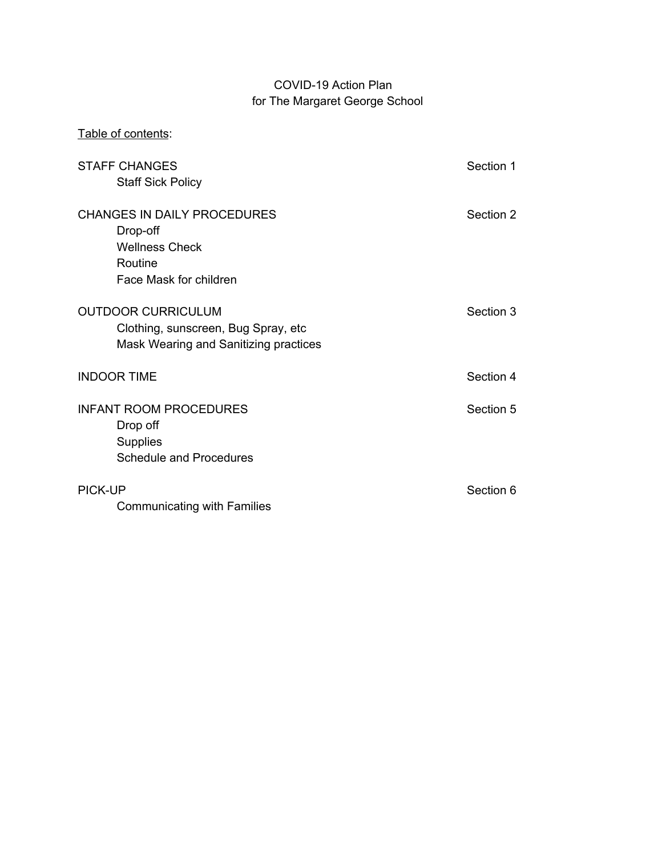## COVID-19 Action Plan for The Margaret George School

| Table of contents:                                                                                           |           |
|--------------------------------------------------------------------------------------------------------------|-----------|
| <b>STAFF CHANGES</b><br><b>Staff Sick Policy</b>                                                             | Section 1 |
| <b>CHANGES IN DAILY PROCEDURES</b><br>Drop-off<br><b>Wellness Check</b><br>Routine<br>Face Mask for children | Section 2 |
| <b>OUTDOOR CURRICULUM</b><br>Clothing, sunscreen, Bug Spray, etc.<br>Mask Wearing and Sanitizing practices   | Section 3 |
| <b>INDOOR TIME</b>                                                                                           | Section 4 |
| <b>INFANT ROOM PROCEDURES</b><br>Drop off<br><b>Supplies</b><br><b>Schedule and Procedures</b>               | Section 5 |
| <b>PICK-UP</b><br><b>Communicating with Families</b>                                                         | Section 6 |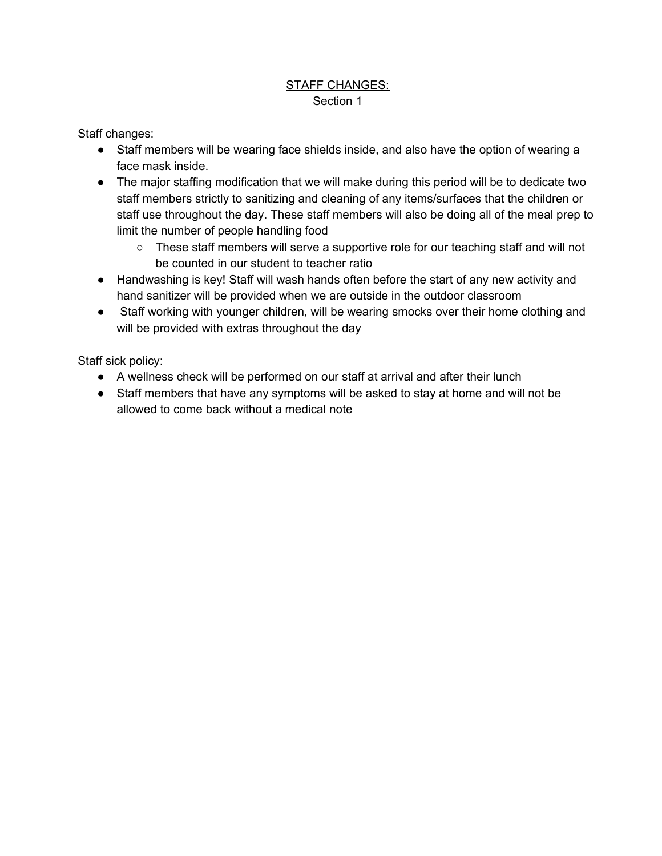### STAFF CHANGES: Section 1

#### Staff changes:

- Staff members will be wearing face shields inside, and also have the option of wearing a face mask inside.
- The major staffing modification that we will make during this period will be to dedicate two staff members strictly to sanitizing and cleaning of any items/surfaces that the children or staff use throughout the day. These staff members will also be doing all of the meal prep to limit the number of people handling food
	- These staff members will serve a supportive role for our teaching staff and will not be counted in our student to teacher ratio
- Handwashing is key! Staff will wash hands often before the start of any new activity and hand sanitizer will be provided when we are outside in the outdoor classroom
- Staff working with younger children, will be wearing smocks over their home clothing and will be provided with extras throughout the day

#### Staff sick policy:

- A wellness check will be performed on our staff at arrival and after their lunch
- Staff members that have any symptoms will be asked to stay at home and will not be allowed to come back without a medical note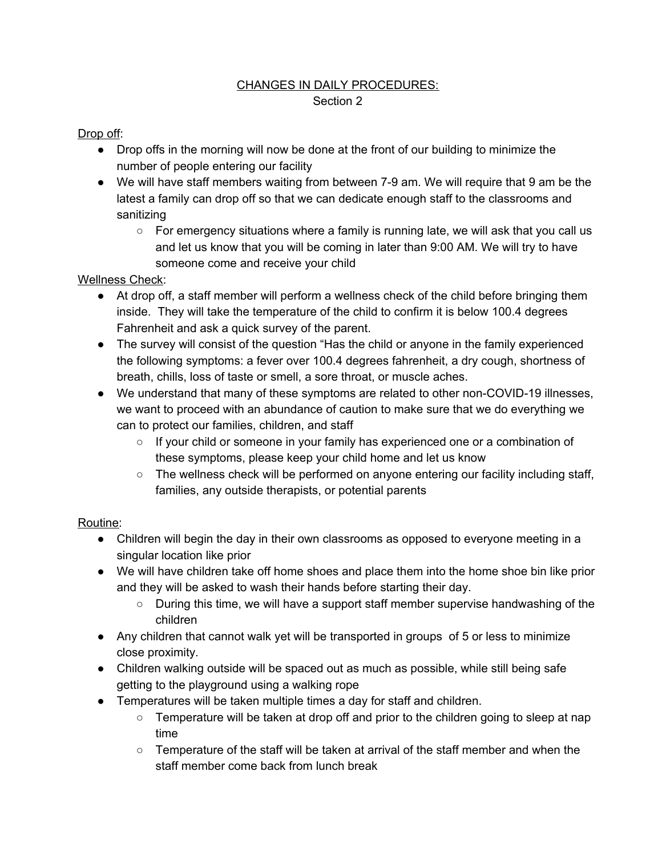## CHANGES IN DAILY PROCEDURES: Section 2

## Drop off:

- Drop offs in the morning will now be done at the front of our building to minimize the number of people entering our facility
- We will have staff members waiting from between 7-9 am. We will require that 9 am be the latest a family can drop off so that we can dedicate enough staff to the classrooms and sanitizing
	- For emergency situations where a family is running late, we will ask that you call us and let us know that you will be coming in later than 9:00 AM. We will try to have someone come and receive your child

### Wellness Check:

- At drop off, a staff member will perform a wellness check of the child before bringing them inside. They will take the temperature of the child to confirm it is below 100.4 degrees Fahrenheit and ask a quick survey of the parent.
- The survey will consist of the question "Has the child or anyone in the family experienced the following symptoms: a fever over 100.4 degrees fahrenheit, a dry cough, shortness of breath, chills, loss of taste or smell, a sore throat, or muscle aches.
- We understand that many of these symptoms are related to other non-COVID-19 illnesses, we want to proceed with an abundance of caution to make sure that we do everything we can to protect our families, children, and staff
	- If your child or someone in your family has experienced one or a combination of these symptoms, please keep your child home and let us know
	- $\circ$  The wellness check will be performed on anyone entering our facility including staff, families, any outside therapists, or potential parents

## Routine:

- Children will begin the day in their own classrooms as opposed to everyone meeting in a singular location like prior
- We will have children take off home shoes and place them into the home shoe bin like prior and they will be asked to wash their hands before starting their day.
	- During this time, we will have a support staff member supervise handwashing of the children
- Any children that cannot walk yet will be transported in groups of 5 or less to minimize close proximity.
- Children walking outside will be spaced out as much as possible, while still being safe getting to the playground using a walking rope
- Temperatures will be taken multiple times a day for staff and children.
	- Temperature will be taken at drop off and prior to the children going to sleep at nap time
	- $\circ$  Temperature of the staff will be taken at arrival of the staff member and when the staff member come back from lunch break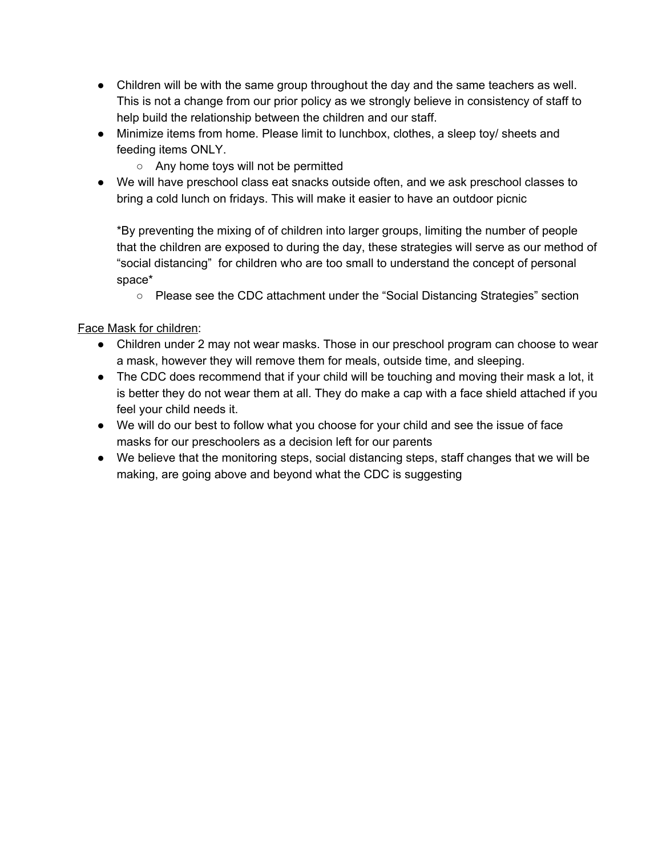- Children will be with the same group throughout the day and the same teachers as well. This is not a change from our prior policy as we strongly believe in consistency of staff to help build the relationship between the children and our staff.
- Minimize items from home. Please limit to lunchbox, clothes, a sleep toy/ sheets and feeding items ONLY.
	- Any home toys will not be permitted
- We will have preschool class eat snacks outside often, and we ask preschool classes to bring a cold lunch on fridays. This will make it easier to have an outdoor picnic

\*By preventing the mixing of of children into larger groups, limiting the number of people that the children are exposed to during the day, these strategies will serve as our method of "social distancing" for children who are too small to understand the concept of personal space\*

○ Please see the CDC attachment under the "Social Distancing Strategies" section

#### Face Mask for children:

- Children under 2 may not wear masks. Those in our preschool program can choose to wear a mask, however they will remove them for meals, outside time, and sleeping.
- The CDC does recommend that if your child will be touching and moving their mask a lot, it is better they do not wear them at all. They do make a cap with a face shield attached if you feel your child needs it.
- We will do our best to follow what you choose for your child and see the issue of face masks for our preschoolers as a decision left for our parents
- We believe that the monitoring steps, social distancing steps, staff changes that we will be making, are going above and beyond what the CDC is suggesting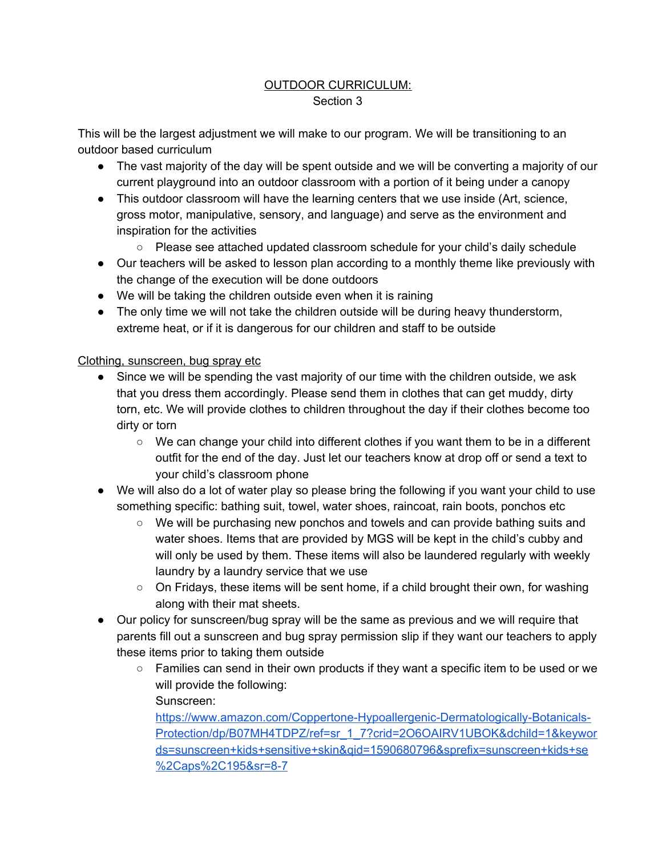### OUTDOOR CURRICULUM: Section 3

This will be the largest adjustment we will make to our program. We will be transitioning to an outdoor based curriculum

- The vast majority of the day will be spent outside and we will be converting a majority of our current playground into an outdoor classroom with a portion of it being under a canopy
- This outdoor classroom will have the learning centers that we use inside (Art, science, gross motor, manipulative, sensory, and language) and serve as the environment and inspiration for the activities
	- Please see attached updated classroom schedule for your child's daily schedule
- Our teachers will be asked to lesson plan according to a monthly theme like previously with the change of the execution will be done outdoors
- We will be taking the children outside even when it is raining
- The only time we will not take the children outside will be during heavy thunderstorm, extreme heat, or if it is dangerous for our children and staff to be outside

### Clothing, sunscreen, bug spray etc

- Since we will be spending the vast majority of our time with the children outside, we ask that you dress them accordingly. Please send them in clothes that can get muddy, dirty torn, etc. We will provide clothes to children throughout the day if their clothes become too dirty or torn
	- $\circ$  We can change your child into different clothes if you want them to be in a different outfit for the end of the day. Just let our teachers know at drop off or send a text to your child's classroom phone
- We will also do a lot of water play so please bring the following if you want your child to use something specific: bathing suit, towel, water shoes, raincoat, rain boots, ponchos etc
	- We will be purchasing new ponchos and towels and can provide bathing suits and water shoes. Items that are provided by MGS will be kept in the child's cubby and will only be used by them. These items will also be laundered regularly with weekly laundry by a laundry service that we use
	- On Fridays, these items will be sent home, if a child brought their own, for washing along with their mat sheets.
- Our policy for sunscreen/bug spray will be the same as previous and we will require that parents fill out a sunscreen and bug spray permission slip if they want our teachers to apply these items prior to taking them outside
	- Families can send in their own products if they want a specific item to be used or we will provide the following:
		- Sunscreen:

[https://www.amazon.com/Coppertone-Hypoallergenic-Dermatologically-Botanicals-](https://www.amazon.com/Coppertone-Hypoallergenic-Dermatologically-Botanicals-Protection/dp/B07MH4TDPZ/ref=sr_1_7?crid=2O6OAIRV1UBOK&dchild=1&keywords=sunscreen+kids+sensitive+skin&qid=1590680796&sprefix=sunscreen+kids+se%2Caps%2C195&sr=8-7)[Protection/dp/B07MH4TDPZ/ref=sr\\_1\\_7?crid=2O6OAIRV1UBOK&dchild=1&keywor](https://www.amazon.com/Coppertone-Hypoallergenic-Dermatologically-Botanicals-Protection/dp/B07MH4TDPZ/ref=sr_1_7?crid=2O6OAIRV1UBOK&dchild=1&keywords=sunscreen+kids+sensitive+skin&qid=1590680796&sprefix=sunscreen+kids+se%2Caps%2C195&sr=8-7) [ds=sunscreen+kids+sensitive+skin&qid=1590680796&sprefix=sunscreen+kids+se](https://www.amazon.com/Coppertone-Hypoallergenic-Dermatologically-Botanicals-Protection/dp/B07MH4TDPZ/ref=sr_1_7?crid=2O6OAIRV1UBOK&dchild=1&keywords=sunscreen+kids+sensitive+skin&qid=1590680796&sprefix=sunscreen+kids+se%2Caps%2C195&sr=8-7) [%2Caps%2C195&sr=8-7](https://www.amazon.com/Coppertone-Hypoallergenic-Dermatologically-Botanicals-Protection/dp/B07MH4TDPZ/ref=sr_1_7?crid=2O6OAIRV1UBOK&dchild=1&keywords=sunscreen+kids+sensitive+skin&qid=1590680796&sprefix=sunscreen+kids+se%2Caps%2C195&sr=8-7)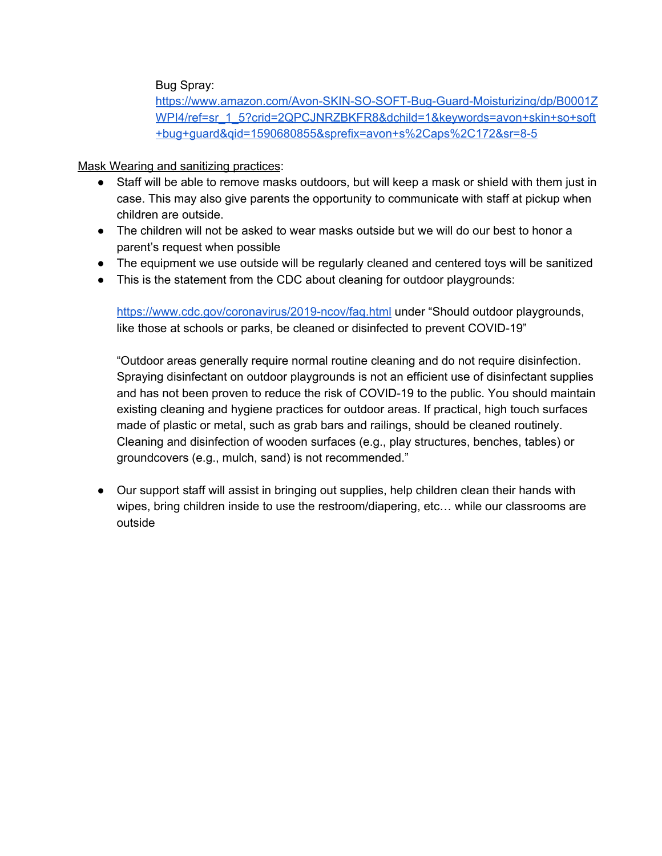Bug Spray:

[https://www.amazon.com/Avon-SKIN-SO-SOFT-Bug-Guard-Moisturizing/dp/B0001Z](https://www.amazon.com/Avon-SKIN-SO-SOFT-Bug-Guard-Moisturizing/dp/B0001ZWPI4/ref=sr_1_5?crid=2QPCJNRZBKFR8&dchild=1&keywords=avon+skin+so+soft+bug+guard&qid=1590680855&sprefix=avon+s%2Caps%2C172&sr=8-5) [WPI4/ref=sr\\_1\\_5?crid=2QPCJNRZBKFR8&dchild=1&keywords=avon+skin+so+soft](https://www.amazon.com/Avon-SKIN-SO-SOFT-Bug-Guard-Moisturizing/dp/B0001ZWPI4/ref=sr_1_5?crid=2QPCJNRZBKFR8&dchild=1&keywords=avon+skin+so+soft+bug+guard&qid=1590680855&sprefix=avon+s%2Caps%2C172&sr=8-5) [+bug+guard&qid=1590680855&sprefix=avon+s%2Caps%2C172&sr=8-5](https://www.amazon.com/Avon-SKIN-SO-SOFT-Bug-Guard-Moisturizing/dp/B0001ZWPI4/ref=sr_1_5?crid=2QPCJNRZBKFR8&dchild=1&keywords=avon+skin+so+soft+bug+guard&qid=1590680855&sprefix=avon+s%2Caps%2C172&sr=8-5)

Mask Wearing and sanitizing practices:

- Staff will be able to remove masks outdoors, but will keep a mask or shield with them just in case. This may also give parents the opportunity to communicate with staff at pickup when children are outside.
- The children will not be asked to wear masks outside but we will do our best to honor a parent's request when possible
- The equipment we use outside will be regularly cleaned and centered toys will be sanitized
- This is the statement from the CDC about cleaning for outdoor playgrounds:

<https://www.cdc.gov/coronavirus/2019-ncov/faq.html> under "Should outdoor playgrounds, like those at schools or parks, be cleaned or disinfected to prevent COVID-19"

"Outdoor areas generally require normal routine cleaning and do not require disinfection. Spraying disinfectant on outdoor playgrounds is not an efficient use of disinfectant supplies and has not been proven to reduce the risk of COVID-19 to the public. You should maintain existing cleaning and hygiene practices for outdoor areas. If practical, high touch surfaces made of plastic or metal, such as grab bars and railings, should be cleaned routinely. Cleaning and disinfection of wooden surfaces (e.g., play structures, benches, tables) or groundcovers (e.g., mulch, sand) is not recommended."

● Our support staff will assist in bringing out supplies, help children clean their hands with wipes, bring children inside to use the restroom/diapering, etc… while our classrooms are outside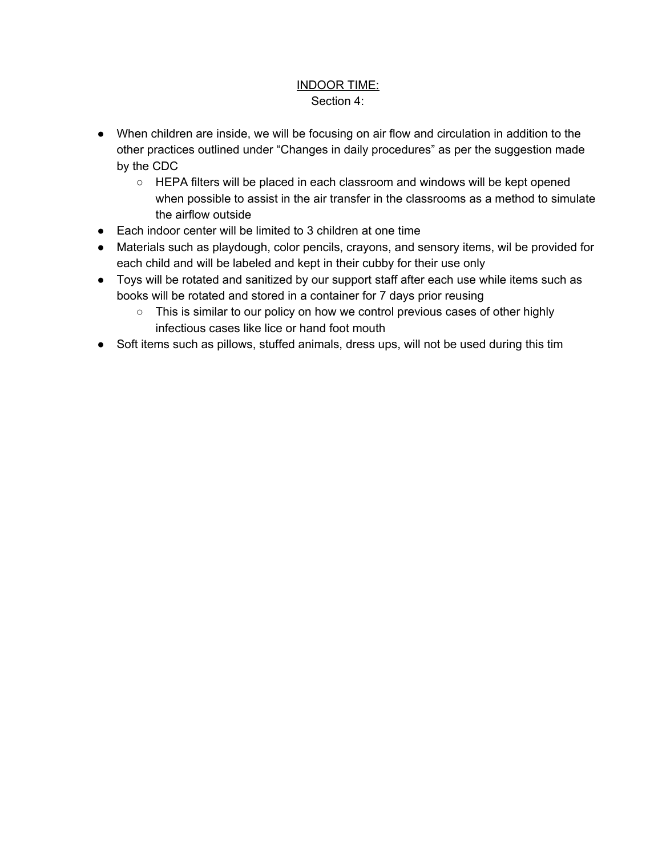#### INDOOR TIME: Section 4:

- When children are inside, we will be focusing on air flow and circulation in addition to the other practices outlined under "Changes in daily procedures" as per the suggestion made by the CDC
	- HEPA filters will be placed in each classroom and windows will be kept opened when possible to assist in the air transfer in the classrooms as a method to simulate the airflow outside
- Each indoor center will be limited to 3 children at one time
- Materials such as playdough, color pencils, crayons, and sensory items, wil be provided for each child and will be labeled and kept in their cubby for their use only
- Toys will be rotated and sanitized by our support staff after each use while items such as books will be rotated and stored in a container for 7 days prior reusing
	- This is similar to our policy on how we control previous cases of other highly infectious cases like lice or hand foot mouth
- Soft items such as pillows, stuffed animals, dress ups, will not be used during this tim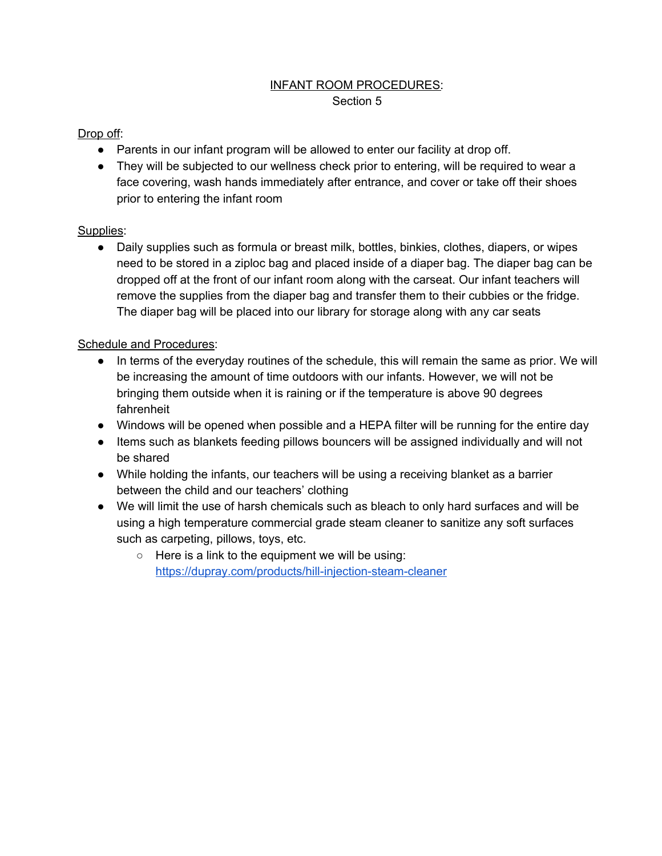# INFANT ROOM PROCEDURES:

#### Section 5

## Drop off:

- Parents in our infant program will be allowed to enter our facility at drop off.
- They will be subjected to our wellness check prior to entering, will be required to wear a face covering, wash hands immediately after entrance, and cover or take off their shoes prior to entering the infant room

### Supplies:

● Daily supplies such as formula or breast milk, bottles, binkies, clothes, diapers, or wipes need to be stored in a ziploc bag and placed inside of a diaper bag. The diaper bag can be dropped off at the front of our infant room along with the carseat. Our infant teachers will remove the supplies from the diaper bag and transfer them to their cubbies or the fridge. The diaper bag will be placed into our library for storage along with any car seats

### Schedule and Procedures:

- In terms of the everyday routines of the schedule, this will remain the same as prior. We will be increasing the amount of time outdoors with our infants. However, we will not be bringing them outside when it is raining or if the temperature is above 90 degrees fahrenheit
- Windows will be opened when possible and a HEPA filter will be running for the entire day
- Items such as blankets feeding pillows bouncers will be assigned individually and will not be shared
- While holding the infants, our teachers will be using a receiving blanket as a barrier between the child and our teachers' clothing
- We will limit the use of harsh chemicals such as bleach to only hard surfaces and will be using a high temperature commercial grade steam cleaner to sanitize any soft surfaces such as carpeting, pillows, toys, etc.
	- $\circ$  Here is a link to the equipment we will be using: <https://dupray.com/products/hill-injection-steam-cleaner>